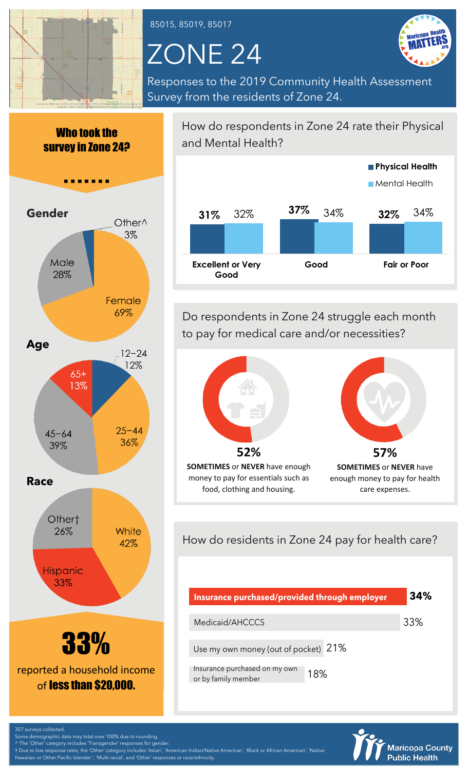

85015, 85019, 85017

# ZONE 24



Responses to the 2019 Community Health Assessment Survey from the residents of Zone 24.







reported a household income of less than \$20,000.

How do respondents in Zone 24 rate their Physical and Mental Health?



Do respondents in Zone 24 struggle each month to pay for medical care and/or necessities?



How do residents in Zone 24 pay for health care?

| Insurance purchased/provided through employer        |     | 34% |  |
|------------------------------------------------------|-----|-----|--|
| Medicaid/AHCCCS                                      |     | 33% |  |
| Use my own money (out of pocket) 21%                 |     |     |  |
| Insurance purchased on my own<br>or by family member | 18% |     |  |

![](_page_0_Picture_15.jpeg)

Some demographic data may total over 100% due to rounding.

357 surveys collected.

^ The 'Other' category includes 'Transgender' responses for gender. † Due to low response rates, the 'Other' category includes 'Asian', 'American Indian/Native American', 'Black or African American', 'Native Hawaiian or Other Pacific Islander ', 'Multi-racial', and 'Other' responses or race/ethnicity.